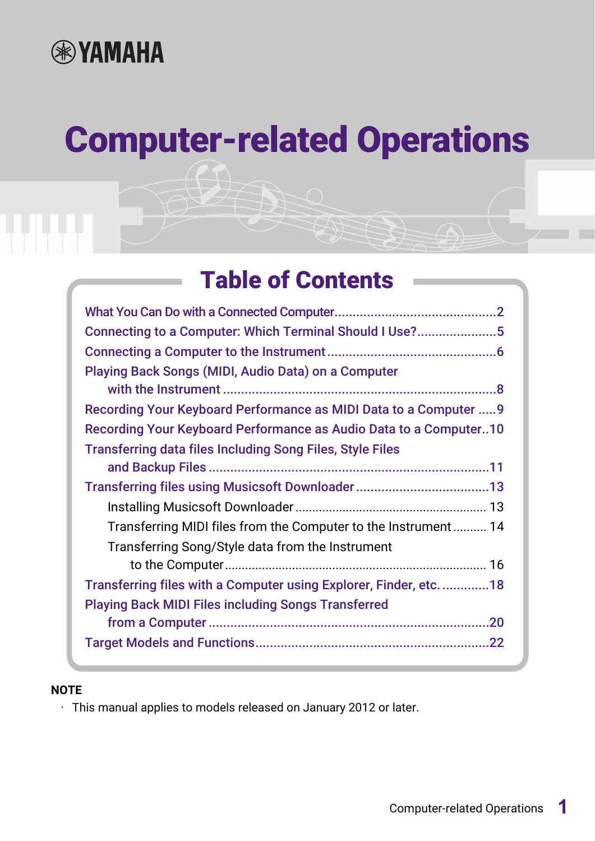

# Computer-related Operations

# Table of Contents

| Connecting to a Computer: Which Terminal Should I Use?5            |
|--------------------------------------------------------------------|
|                                                                    |
| <b>Playing Back Songs (MIDI, Audio Data) on a Computer</b>         |
| Recording Your Keyboard Performance as MIDI Data to a Computer  9  |
| Recording Your Keyboard Performance as Audio Data to a Computer10  |
| <b>Transferring data files Including Song Files, Style Files</b>   |
|                                                                    |
|                                                                    |
|                                                                    |
| Transferring MIDI files from the Computer to the Instrument 14     |
| Transferring Song/Style data from the Instrument                   |
|                                                                    |
| Transferring files with a Computer using Explorer, Finder, etc. 18 |
| <b>Playing Back MIDI Files including Songs Transferred</b>         |
|                                                                    |
|                                                                    |

#### **NOTE**

• This manual applies to models released on January 2012 or later.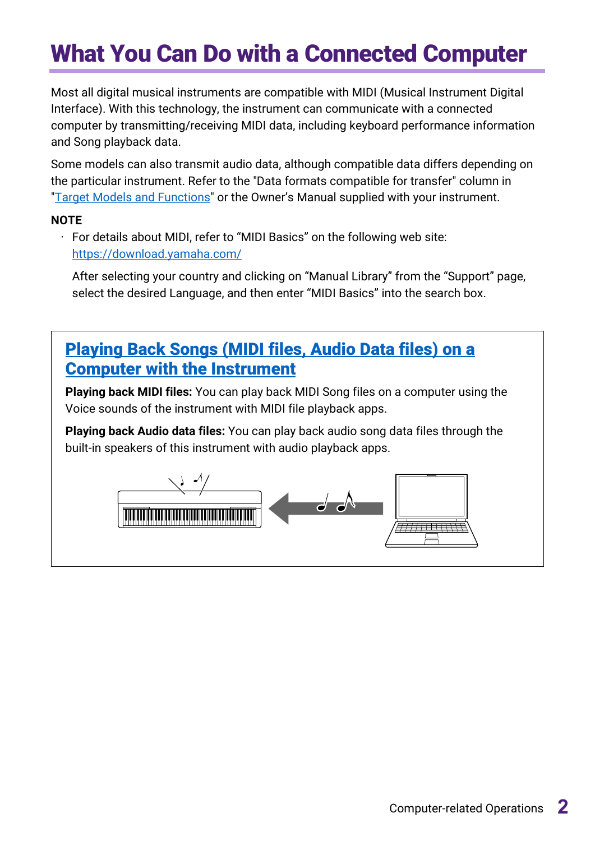# <span id="page-1-0"></span>What You Can Do with a Connected Computer

Most all digital musical instruments are compatible with MIDI (Musical Instrument Digital Interface). With this technology, the instrument can communicate with a connected computer by transmitting/receiving MIDI data, including keyboard performance information and Song playback data.

Some models can also transmit audio data, although compatible data differs depending on the particular instrument. Refer to the "Data formats compatible for transfer" column in ["Target Models and Functions"](#page-21-0) or the Owner's Manual supplied with your instrument.

#### **NOTE**

• For details about MIDI, refer to "MIDI Basics" on the following web site: <https://download.yamaha.com/>

After selecting your country and clicking on "Manual Library" from the "Support" page, select the desired Language, and then enter "MIDI Basics" into the search box.

## [Playing Back Songs \(MIDI](#page-7-0) files, Audio Data files) on a [Computer with the Instrument](#page-7-0)

**Playing back MIDI files:** You can play back MIDI Song files on a computer using the Voice sounds of the instrument with MIDI file playback apps.

**Playing back Audio data files:** You can play back audio song data files through the built-in speakers of this instrument with audio playback apps.

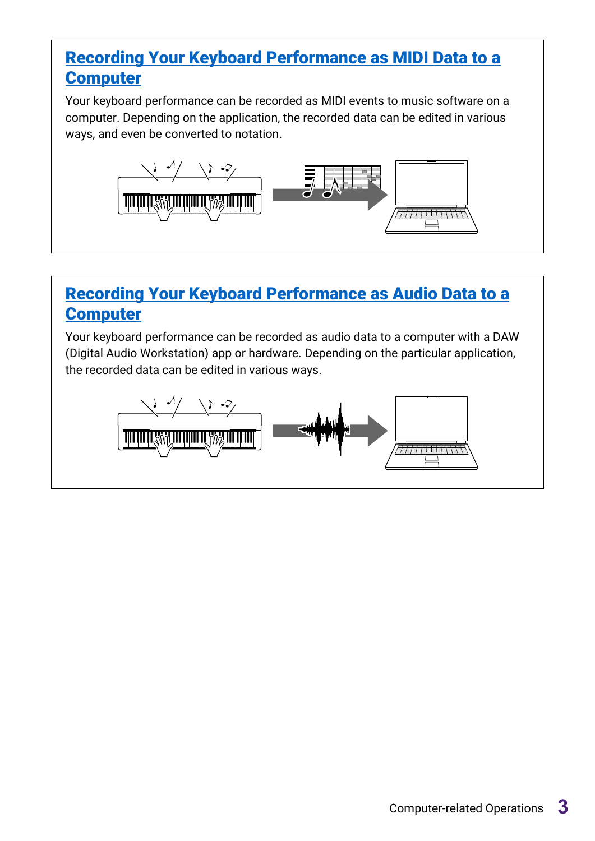## [Recording Your Keyboard Performance as MIDI Data to a](#page-8-0) **[Computer](#page-8-0)**

Your keyboard performance can be recorded as MIDI events to music software on a computer. Depending on the application, the recorded data can be edited in various ways, and even be converted to notation.



## [Recording Your Keyboard Performance as Audio Data to a](#page-9-0)  **[Computer](#page-9-0)**

Your keyboard performance can be recorded as audio data to a computer with a DAW (Digital Audio Workstation) app or hardware. Depending on the particular application, the recorded data can be edited in various ways.

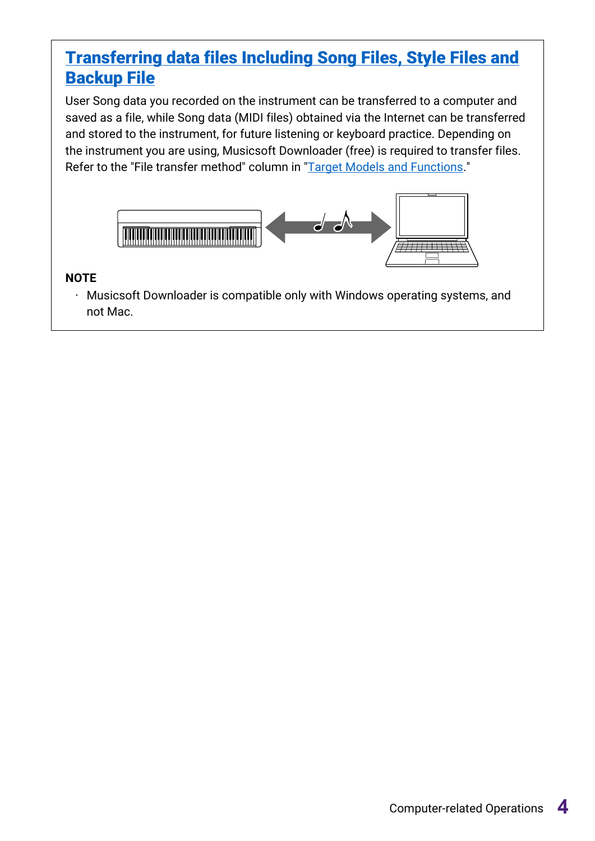## [Transferring data files Including Song Files, Style Files and](#page-10-0)  [Backup File](#page-10-0)

User Song data you recorded on the instrument can be transferred to a computer and saved as a file, while Song data (MIDI files) obtained via the Internet can be transferred and stored to the instrument, for future listening or keyboard practice. Depending on the instrument you are using, Musicsoft Downloader (free) is required to transfer files. Refer to the "File transfer method" column in ["Target Models and Functions.](#page-21-0)"



#### **NOTE**

• Musicsoft Downloader is compatible only with Windows operating systems, and not Mac.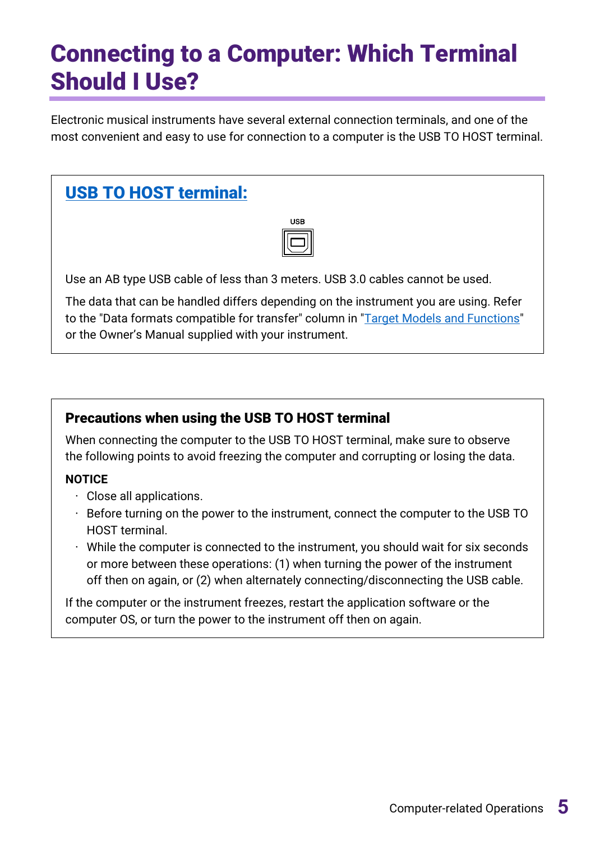# <span id="page-4-0"></span>Connecting to a Computer: Which Terminal Should I Use?

Electronic musical instruments have several external connection terminals, and one of the most convenient and easy to use for connection to a computer is the USB TO HOST terminal.

# [USB TO HOST terminal:](#page-5-1)

| SВ |  |
|----|--|
|    |  |

Use an AB type USB cable of less than 3 meters. USB 3.0 cables cannot be used.

The data that can be handled differs depending on the instrument you are using. Refer to the "Data formats compatible for transfer" column in ["Target Models and Functions"](#page-21-0) or the Owner's Manual supplied with your instrument.

#### Precautions when using the USB TO HOST terminal

When connecting the computer to the USB TO HOST terminal, make sure to observe the following points to avoid freezing the computer and corrupting or losing the data.

#### **NOTICE**

- Close all applications.
- $\cdot$  Before turning on the power to the instrument, connect the computer to the USB TO HOST terminal.
- $\cdot$  While the computer is connected to the instrument, you should wait for six seconds or more between these operations: (1) when turning the power of the instrument off then on again, or (2) when alternately connecting/disconnecting the USB cable.

If the computer or the instrument freezes, restart the application software or the computer OS, or turn the power to the instrument off then on again.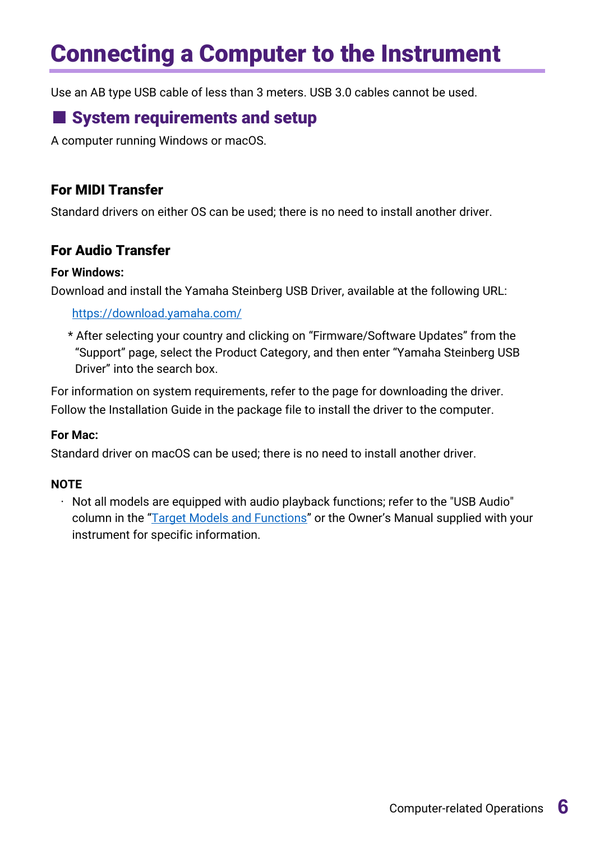# <span id="page-5-0"></span>Connecting a Computer to the Instrument

<span id="page-5-1"></span>Use an AB type USB cable of less than 3 meters. USB 3.0 cables cannot be used.

## ■ System requirements and setup

A computer running Windows or macOS.

#### For MIDI Transfer

Standard drivers on either OS can be used; there is no need to install another driver.

#### For Audio Transfer

#### **For Windows:**

Download and install the Yamaha Steinberg USB Driver, available at the following URL:

<https://download.yamaha.com/>

\* After selecting your country and clicking on "Firmware/Software Updates" from the "Support" page, select the Product Category, and then enter "Yamaha Steinberg USB Driver" into the search box.

For information on system requirements, refer to the page for downloading the driver. Follow the Installation Guide in the package file to install the driver to the computer.

#### **For Mac:**

Standard driver on macOS can be used; there is no need to install another driver.

#### **NOTE**

 $\cdot$  Not all models are equipped with audio playback functions; refer to the "USB Audio" column in the ["Target Models and Functions"](#page-21-0) or the Owner's Manual supplied with your instrument for specific information.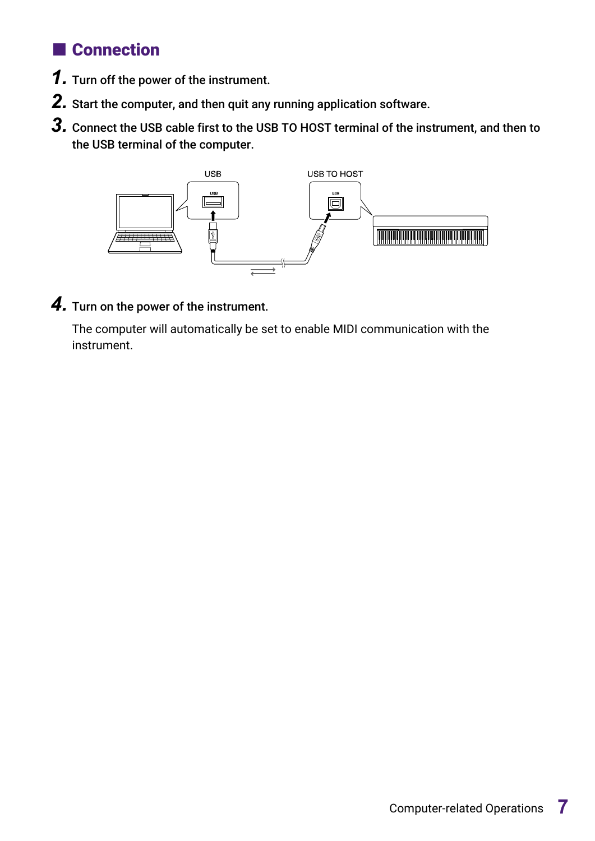## ■ Connection

- *1.* Turn off the power of the instrument.
- *2.* Start the computer, and then quit any running application software.
- *3.* Connect the USB cable first to the USB TO HOST terminal of the instrument, and then to the USB terminal of the computer.



*4.* Turn on the power of the instrument.

The computer will automatically be set to enable MIDI communication with the instrument.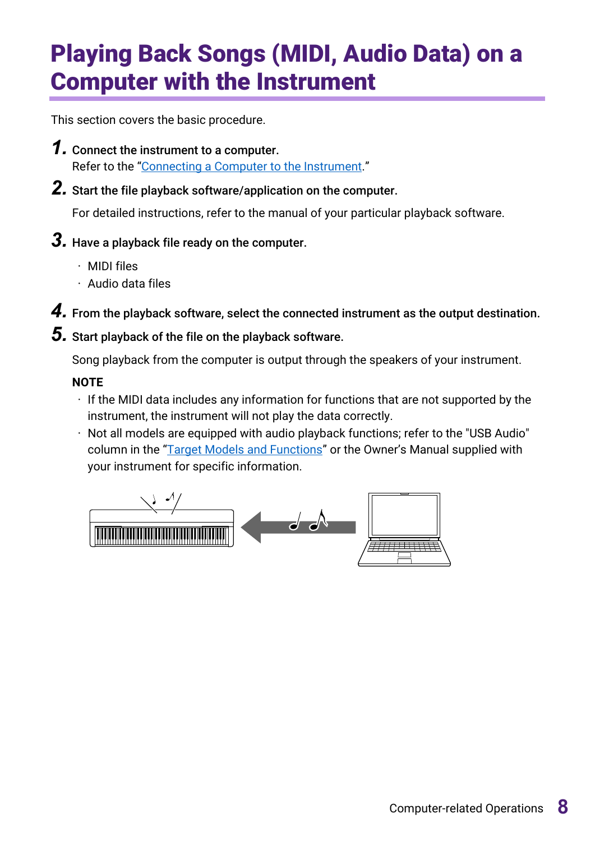# <span id="page-7-0"></span>Playing Back Songs (MIDI, Audio Data) on a Computer with the Instrument

This section covers the basic procedure.

- *1.* Connect the instrument to a computer. Refer to the ["Connecting a Computer to the Instrument.](#page-5-0)"
- *2.* Start the file playback software/application on the computer.

For detailed instructions, refer to the manual of your particular playback software.

## *3.* Have a playback file ready on the computer.

- MIDI files
- Audio data files

*4.* From the playback software, select the connected instrument as the output destination.

### *5.* Start playback of the file on the playback software.

Song playback from the computer is output through the speakers of your instrument.

#### **NOTE**

- If the MIDI data includes any information for functions that are not supported by the instrument, the instrument will not play the data correctly.
- $\cdot$  Not all models are equipped with audio playback functions; refer to the "USB Audio" column in the ["Target Models and Functions"](#page-21-0) or the Owner's Manual supplied with your instrument for specific information.

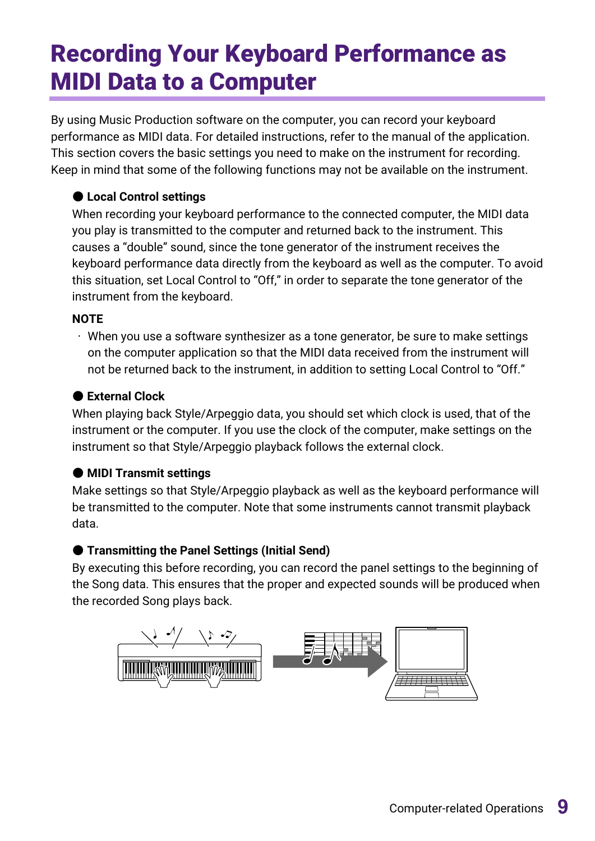# <span id="page-8-0"></span>Recording Your Keyboard Performance as MIDI Data to a Computer

By using Music Production software on the computer, you can record your keyboard performance as MIDI data. For detailed instructions, refer to the manual of the application. This section covers the basic settings you need to make on the instrument for recording. Keep in mind that some of the following functions may not be available on the instrument.

#### ● **Local Control settings**

When recording your keyboard performance to the connected computer, the MIDI data you play is transmitted to the computer and returned back to the instrument. This causes a "double" sound, since the tone generator of the instrument receives the keyboard performance data directly from the keyboard as well as the computer. To avoid this situation, set Local Control to "Off," in order to separate the tone generator of the instrument from the keyboard.

#### **NOTE**

 $\cdot$  When you use a software synthesizer as a tone generator, be sure to make settings on the computer application so that the MIDI data received from the instrument will not be returned back to the instrument, in addition to setting Local Control to "Off."

#### ● **External Clock**

When playing back Style/Arpeggio data, you should set which clock is used, that of the instrument or the computer. If you use the clock of the computer, make settings on the instrument so that Style/Arpeggio playback follows the external clock.

#### ● **MIDI Transmit settings**

Make settings so that Style/Arpeggio playback as well as the keyboard performance will be transmitted to the computer. Note that some instruments cannot transmit playback data.

#### ● **Transmitting the Panel Settings (Initial Send)**

By executing this before recording, you can record the panel settings to the beginning of the Song data. This ensures that the proper and expected sounds will be produced when the recorded Song plays back.

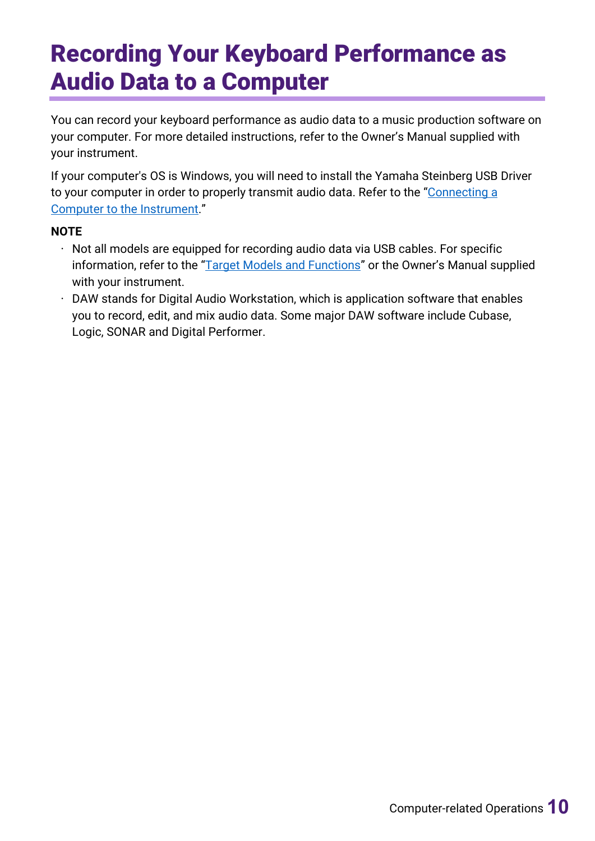# <span id="page-9-0"></span>Recording Your Keyboard Performance as Audio Data to a Computer

You can record your keyboard performance as audio data to a music production software on your computer. For more detailed instructions, refer to the Owner's Manual supplied with your instrument.

If your computer's OS is Windows, you will need to install the Yamaha Steinberg USB Driver to your computer in order to properly transmit audio data. Refer to the "Connecting a Computer [to the Instrument.](#page-5-0)"

#### **NOTE**

- $\cdot$  Not all models are equipped for recording audio data via USB cables. For specific information, refer to the ["Target Models and Functions"](#page-21-0) or the Owner's Manual supplied with your instrument.
- $\cdot$  DAW stands for Digital Audio Workstation, which is application software that enables you to record, edit, and mix audio data. Some major DAW software include Cubase, Logic, SONAR and Digital Performer.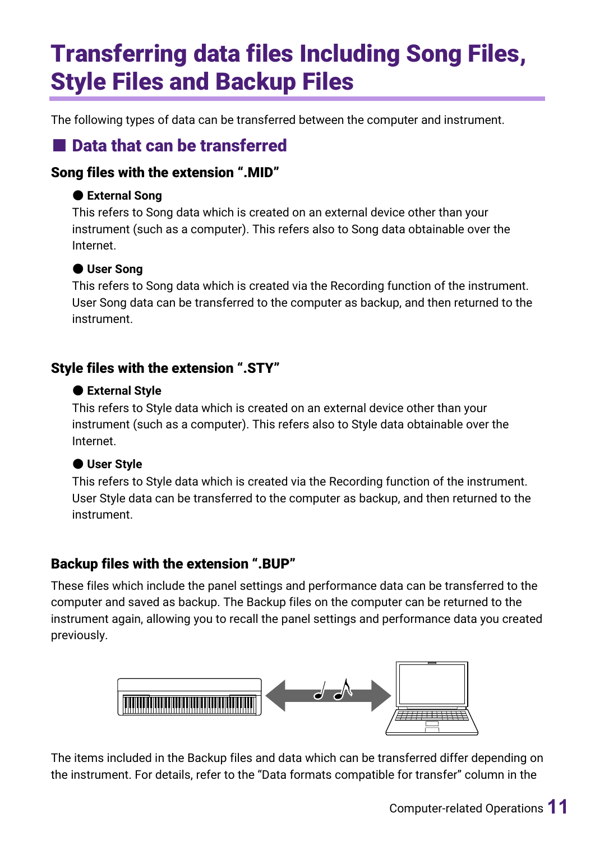# <span id="page-10-0"></span>Transferring data files Including Song Files, Style Files and Backup Files

The following types of data can be transferred between the computer and instrument.

## ■ Data that can be transferred

### Song files with the extension ".MID"

### ● **External Song**

This refers to Song data which is created on an external device other than your instrument (such as a computer). This refers also to Song data obtainable over the Internet.

### ● **User Song**

This refers to Song data which is created via the Recording function of the instrument. User Song data can be transferred to the computer as backup, and then returned to the instrument.

### Style files with the extension ".STY"

### ● **External Style**

This refers to Style data which is created on an external device other than your instrument (such as a computer). This refers also to Style data obtainable over the Internet.

### ● **User Style**

This refers to Style data which is created via the Recording function of the instrument. User Style data can be transferred to the computer as backup, and then returned to the instrument.

### Backup files with the extension ".BUP"

These files which include the panel settings and performance data can be transferred to the computer and saved as backup. The Backup files on the computer can be returned to the instrument again, allowing you to recall the panel settings and performance data you created previously.



The items included in the Backup files and data which can be transferred differ depending on the instrument. For details, refer to the "Data formats compatible for transfer" column in the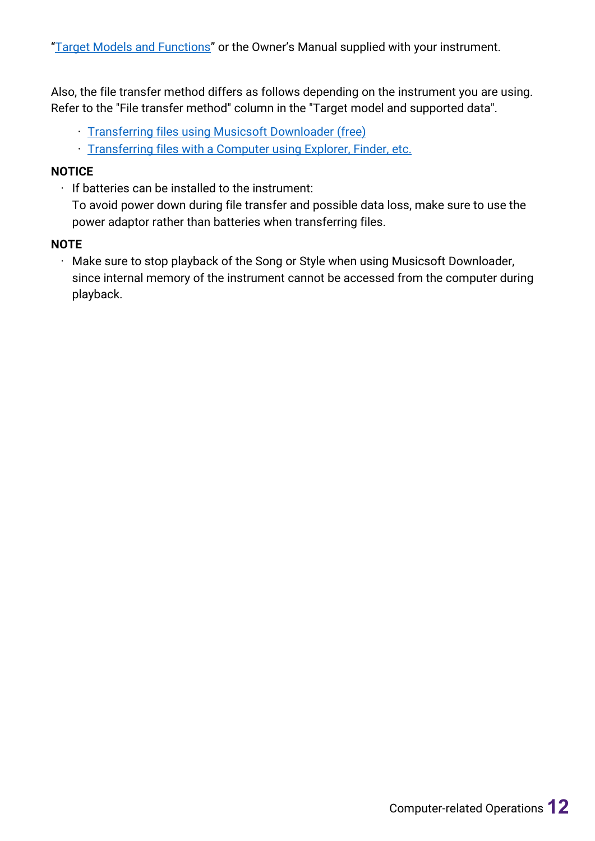Also, the file transfer method differs as follows depending on the instrument you are using. Refer to the "File transfer method" column in the "Target model and supported data".

- Transferring files [using Musicsoft Downloader \(free\)](#page-12-0)
- Transferring files [with a Computer using Explorer, Finder, etc.](#page-17-0)

#### **NOTICE**

 $\cdot$  If batteries can be installed to the instrument:

To avoid power down during file transfer and possible data loss, make sure to use the power adaptor rather than batteries when transferring files.

#### **NOTE**

• Make sure to stop playback of the Song or Style when using Musicsoft Downloader, since internal memory of the instrument cannot be accessed from the computer during playback.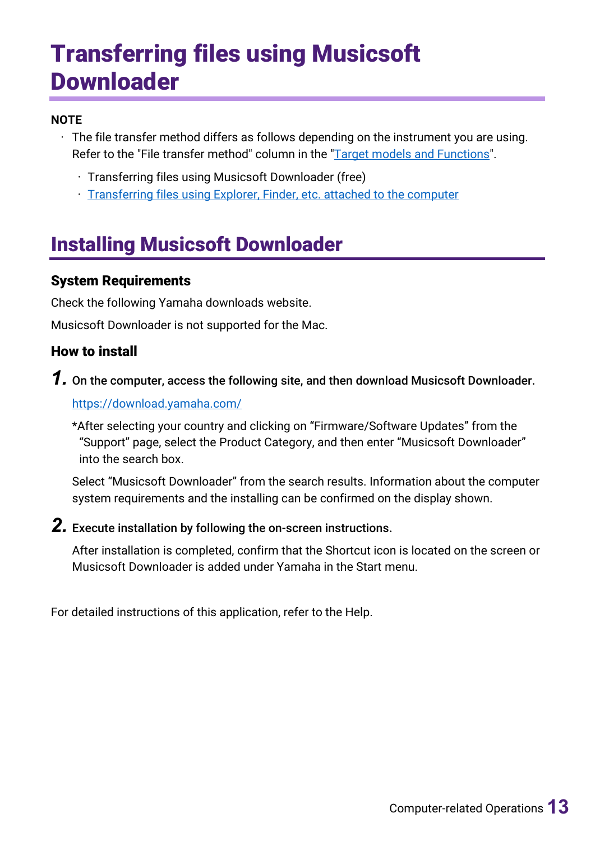# <span id="page-12-0"></span>Transferring files using Musicsoft **Downloader**

#### **NOTE**

- $\cdot$  The file transfer method differs as follows depending on the instrument you are using. Refer to the "File transfer method" column in the ["Target models](#page-21-0) and Functions".
	- Transferring files using Musicsoft Downloader (free)
	- Transferring files [using Explorer, Finder, etc. attached to the computer](#page-17-0)

# <span id="page-12-1"></span>Installing Musicsoft Downloader

#### System Requirements

Check the following Yamaha downloads website.

Musicsoft Downloader is not supported for the Mac.

### How to install

*1.* On the computer, access the following site, and then download Musicsoft Downloader.

#### <https://download.yamaha.com/>

\*After selecting your country and clicking on "Firmware/Software Updates" from the "Support" page, select the Product Category, and then enter "Musicsoft Downloader" into the search box.

Select "Musicsoft Downloader" from the search results. Information about the computer system requirements and the installing can be confirmed on the display shown.

### *2.* Execute installation by following the on-screen instructions.

After installation is completed, confirm that the Shortcut icon is located on the screen or Musicsoft Downloader is added under Yamaha in the Start menu.

For detailed instructions of this application, refer to the Help.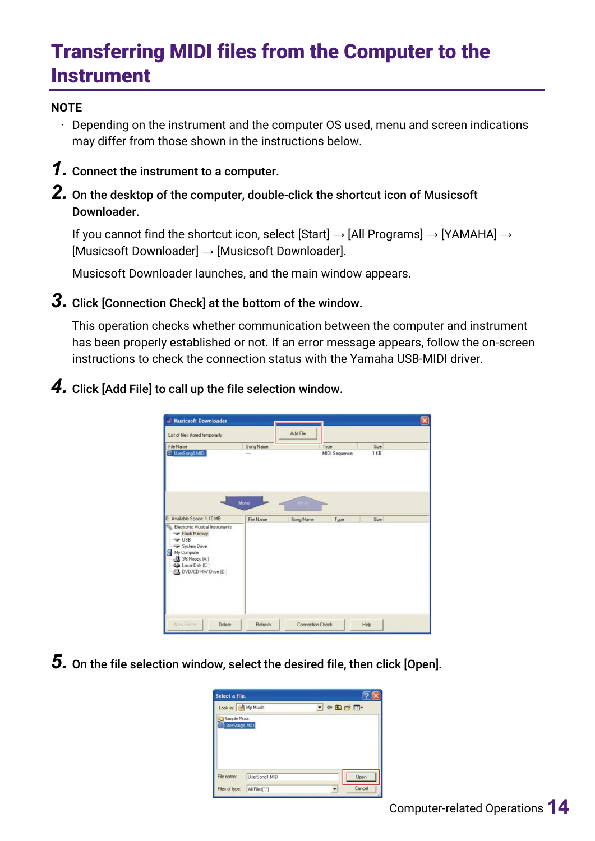# <span id="page-13-0"></span>Transferring MIDI files from the Computer to the **Instrument**

#### **NOTE**

- $\cdot$  Depending on the instrument and the computer OS used, menu and screen indications may differ from those shown in the instructions below.
- *1.* Connect the instrument to a computer.
- *2.* On the desktop of the computer, double-click the shortcut icon of Musicsoft Downloader.

If you cannot find the shortcut icon, select [Start]  $\rightarrow$  [All Programs]  $\rightarrow$  [YAMAHA]  $\rightarrow$ [Musicsoft Downloader] → [Musicsoft Downloader].

Musicsoft Downloader launches, and the main window appears.

*3.* Click [Connection Check] at the bottom of the window.

This operation checks whether communication between the computer and instrument has been properly established or not. If an error message appears, follow the on-screen instructions to check the connection status with the Yamaha USB-MIDI driver.

*4.* Click [Add File] to call up the file selection window.



*5.* On the file selection window, select the desired file, then click [Open].

| Select a file.                |                |                         |        |
|-------------------------------|----------------|-------------------------|--------|
| Look in: My Music             |                | $\cdot \circ \text{or}$ |        |
| Sample Music<br>UserSong1.MID |                |                         |        |
| File name:                    | UserSong1.MID  |                         | Open   |
| Files of type:                | All Files(".") |                         | Cancel |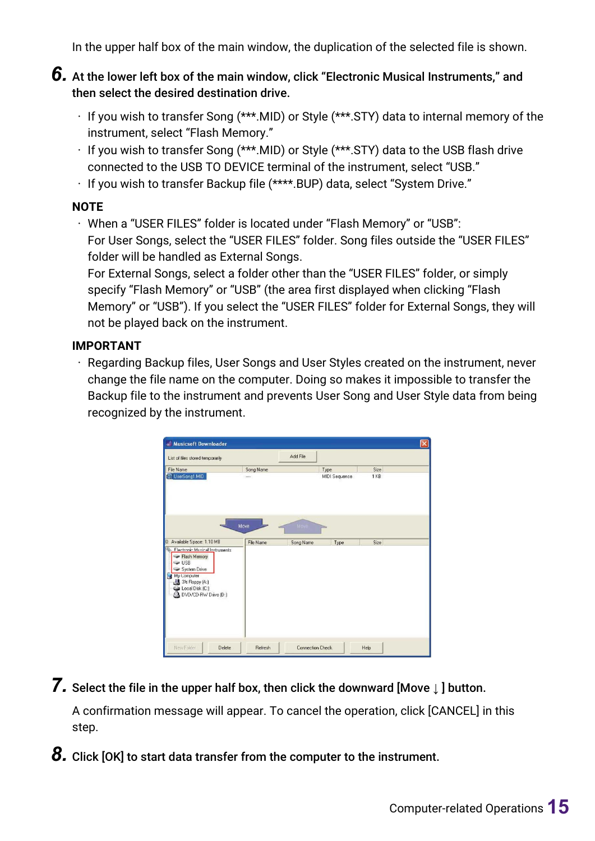In the upper half box of the main window, the duplication of the selected file is shown.

#### *6.* At the lower left box of the main window, click "Electronic Musical Instruments," and then select the desired destination drive.

- $\cdot$  If you wish to transfer Song (\*\*\*.MID) or Style (\*\*\*.STY) data to internal memory of the instrument, select "Flash Memory."
- If you wish to transfer Song (\*\*\*.MID) or Style (\*\*\*.STY) data to the USB flash drive connected to the USB TO DEVICE terminal of the instrument, select "USB."
- If you wish to transfer Backup file (\*\*\*\*.BUP) data, select "System Drive."

#### **NOTE**

• When a "USER FILES" folder is located under "Flash Memory" or "USB": For User Songs, select the "USER FILES" folder. Song files outside the "USER FILES" folder will be handled as External Songs.

For External Songs, select a folder other than the "USER FILES" folder, or simply specify "Flash Memory" or "USB" (the area first displayed when clicking "Flash Memory" or "USB"). If you select the "USER FILES" folder for External Songs, they will not be played back on the instrument.

#### **IMPORTANT**

• Regarding Backup files, User Songs and User Styles created on the instrument, never change the file name on the computer. Doing so makes it impossible to transfer the Backup file to the instrument and prevents User Song and User Style data from being recognized by the instrument.

| <b>Musicsoft Downloader</b><br>að.                                                                                                                                                               |                   |                         |               |                 | $\vert \mathsf{x} \vert$ |
|--------------------------------------------------------------------------------------------------------------------------------------------------------------------------------------------------|-------------------|-------------------------|---------------|-----------------|--------------------------|
| List of files stored temporarily                                                                                                                                                                 |                   | Add File                |               |                 |                          |
| File Name                                                                                                                                                                                        | Song Name         |                         | Type          | Size            |                          |
| C UserSong1.MID                                                                                                                                                                                  |                   |                         | MIDI Sequence | 1 <sub>KB</sub> |                          |
| 0: Available Space: 1.10 MB                                                                                                                                                                      | Move<br>File Name | Moye<br>Song Name       | Type          | Size            |                          |
| Flectronic Musical Instruments<br>Flash Memory<br>$\rightarrow$ USB<br>System Drive<br>My L'omputer<br>$\mathcal{C}$<br>31% Floppy (A:)<br>Local Disk (C:)<br>DVD/CD-RW Drive (D:)<br>$^{\circ}$ |                   |                         |               |                 |                          |
| New Folder<br>Delete                                                                                                                                                                             | Refresh           | <b>Connection Check</b> |               | Help            |                          |

*7.* Select the file in the upper half box, then click the downward [Move <sup>↓</sup> ] button.

A confirmation message will appear. To cancel the operation, click [CANCEL] in this step.

**8.** Click [OK] to start data transfer from the computer to the instrument.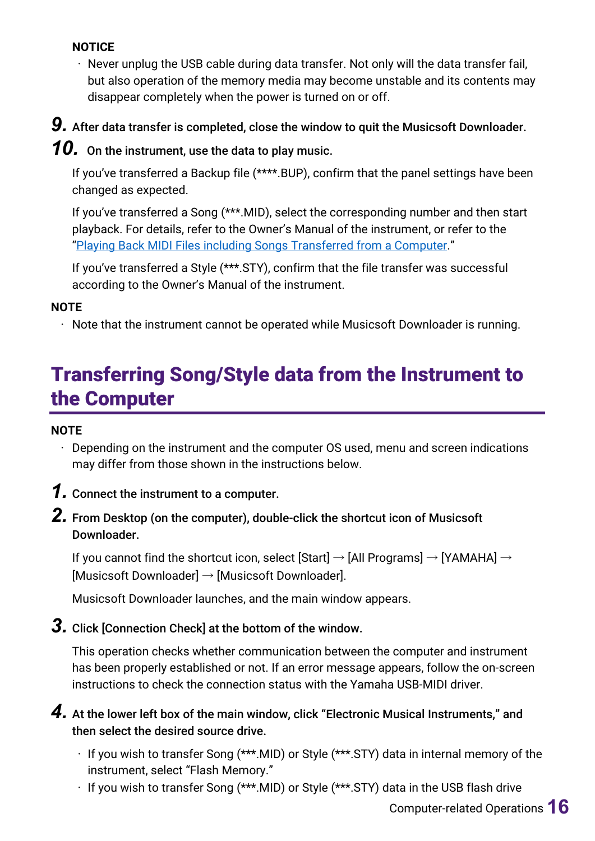#### **NOTICE**

• Never unplug the USB cable during data transfer. Not only will the data transfer fail, but also operation of the memory media may become unstable and its contents may disappear completely when the power is turned on or off.

*9.* After data transfer is completed, close the window to quit the Musicsoft Downloader.

## **10.** On the instrument, use the data to play music.

If you've transferred a Backup file (\*\*\*\*.BUP), confirm that the panel settings have been changed as expected.

If you've transferred a Song (\*\*\*.MID), select the corresponding number and then start playback. For details, refer to the Owner's Manual of the instrument, or refer to the ["Playing Back MIDI Files including Songs Transferred from a Computer.](#page-19-0)"

If you've transferred a Style (\*\*\*.STY), confirm that the file transfer was successful according to the Owner's Manual of the instrument.

#### **NOTE**

• Note that the instrument cannot be operated while Musicsoft Downloader is running.

# <span id="page-15-0"></span>Transferring Song/Style data from the Instrument to the Computer

#### **NOTE**

- Depending on the instrument and the computer OS used, menu and screen indications may differ from those shown in the instructions below.
- *1.* Connect the instrument to a computer.
- *2.* From Desktop (on the computer), double-click the shortcut icon of Musicsoft Downloader.

If you cannot find the shortcut icon, select [Start]  $\rightarrow$  [All Programs]  $\rightarrow$  [YAMAHA]  $\rightarrow$ [Musicsoft Downloader] → [Musicsoft Downloader].

Musicsoft Downloader launches, and the main window appears.

## *3.* Click [Connection Check] at the bottom of the window.

This operation checks whether communication between the computer and instrument has been properly established or not. If an error message appears, follow the on-screen instructions to check the connection status with the Yamaha USB-MIDI driver.

*4.* At the lower left box of the main window, click "Electronic Musical Instruments," and then select the desired source drive.

- If you wish to transfer Song (\*\*\*.MID) or Style (\*\*\*.STY) data in internal memory of the instrument, select "Flash Memory."
- If you wish to transfer Song (\*\*\*.MID) or Style (\*\*\*.STY) data in the USB flash drive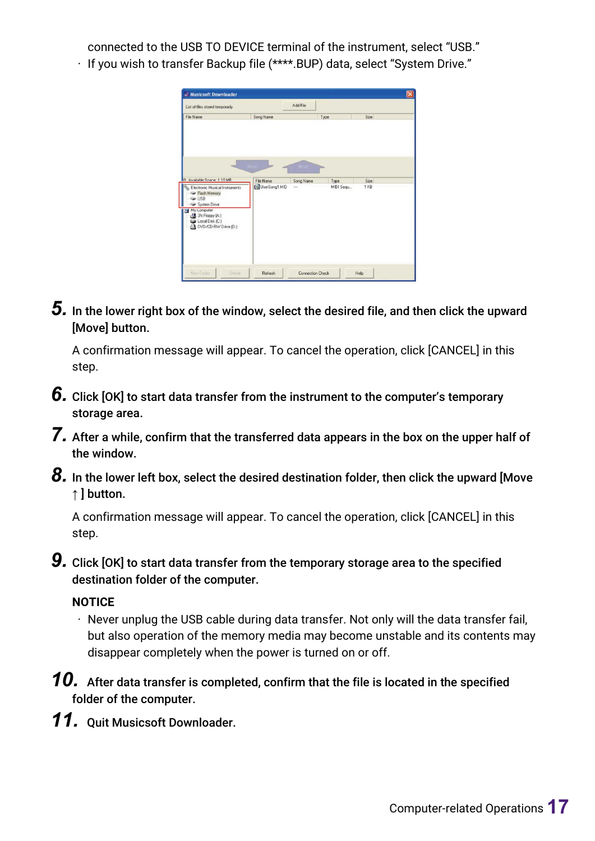connected to the USB TO DEVICE terminal of the instrument, select "USB."

- **Musicsoft Downlo** Add File List of files stored temporarily File Name File Name<br>Call LiserSona1 MID Type<br>MIDI Sa Electronic Musical em Dris Lomputer<br>3½ Floppy (A:)<br>Local Disk (C:)<br>DVD/CD-RW Drive (D:) Å **Refresh** Connection Check Help
- If you wish to transfer Backup file (\*\*\*\*.BUP) data, select "System Drive."

*5.* In the lower right box of the window, select the desired file, and then click the upward [Move] button.

A confirmation message will appear. To cancel the operation, click [CANCEL] in this step.

- **6.** Click [OK] to start data transfer from the instrument to the computer's temporary storage area.
- *7.* After a while, confirm that the transferred data appears in the box on the upper half of the window.
- *8.* In the lower left box, select the desired destination folder, then click the upward [Move ↑ **button.**

A confirmation message will appear. To cancel the operation, click [CANCEL] in this step.

**9.** Click [OK] to start data transfer from the temporary storage area to the specified destination folder of the computer.

#### **NOTICE**

- Never unplug the USB cable during data transfer. Not only will the data transfer fail, but also operation of the memory media may become unstable and its contents may disappear completely when the power is turned on or off.
- *10.* After data transfer is completed, confirm that the file is located in the specified folder of the computer.
- *11.* Quit Musicsoft Downloader.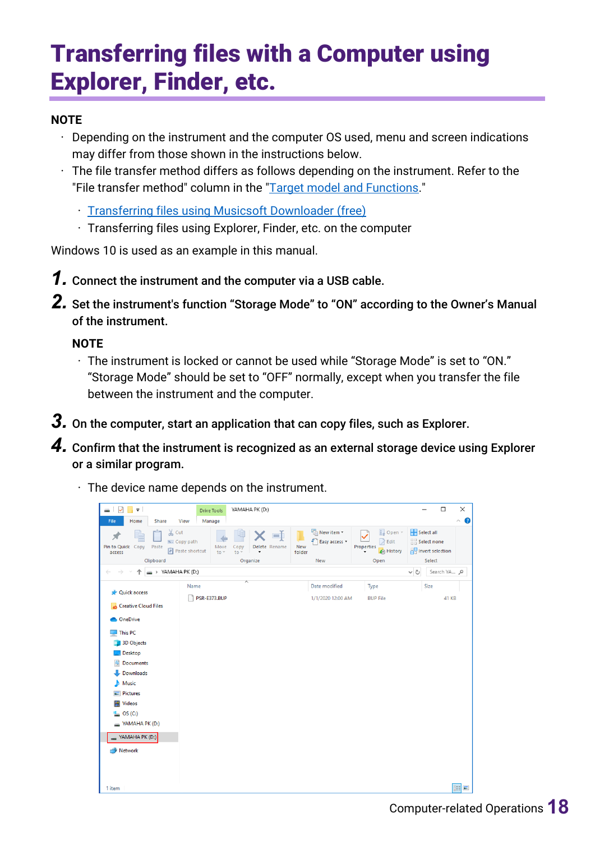# <span id="page-17-0"></span>Transferring files with a Computer using Explorer, Finder, etc.

#### **NOTE**

- $\cdot$  Depending on the instrument and the computer OS used, menu and screen indications may differ from those shown in the instructions below.
- $\cdot$  The file transfer method differs as follows depending on the instrument. Refer to the "File transfer method" column in the ["Target model and Functions.](#page-21-0)"
	- Transferring files [using Musicsoft Downloader \(free\)](#page-12-0)
	- Transferring files using Explorer, Finder, etc. on the computer

Windows 10 is used as an example in this manual.

- *1.* Connect the instrument and the computer via a USB cable.
- *2.* Set the instrument's function "Storage Mode" to "ON" according to the Owner's Manual of the instrument.

#### **NOTE**

- The instrument is locked or cannot be used while "Storage Mode" is set to "ON." "Storage Mode" should be set to "OFF" normally, except when you transfer the file between the instrument and the computer.
- *3.* On the computer, start an application that can copy files, such as Explorer.
- *4.* Confirm that the instrument is recognized as an external storage device using Explorer or a similar program.
	- $\cdot$  The device name depends on the instrument.

| $\checkmark$<br>$\overline{\mathbf{v}}$<br>-<br>Home<br>File                                                                                                                                                                                                                                                | Share                            | View                                      | <b>Drive Tools</b><br>Manage |                          | YAMAHA PK (D:)                                |               |                                                   |                                                                  |          |                                                                 | $\Box$       | ×<br>0<br>$\widehat{\phantom{a}}$ |
|-------------------------------------------------------------------------------------------------------------------------------------------------------------------------------------------------------------------------------------------------------------------------------------------------------------|----------------------------------|-------------------------------------------|------------------------------|--------------------------|-----------------------------------------------|---------------|---------------------------------------------------|------------------------------------------------------------------|----------|-----------------------------------------------------------------|--------------|-----------------------------------|
| 쳬<br>Pin to Quick Copy<br>access                                                                                                                                                                                                                                                                            | $\chi$ Cut<br>Paste<br>Clipboard | Will Copy path<br><b>F</b> Paste shortcut | Move<br>$to -$               | Copy<br>$\overline{10}$  | 可<br>Delete Rename<br>$\!\star\!$<br>Organize | New<br>folder | <b>Th</b> New item ▼<br>ŧ<br>Easy access *<br>New | Dpen *<br>$\triangleright$ Edit<br>Properties<br>History<br>Open |          | Select all<br>BB Select none<br><b>Post selection</b><br>Select |              |                                   |
|                                                                                                                                                                                                                                                                                                             | $\Rightarrow$ YAMAHA PK (D:)     |                                           |                              |                          |                                               |               |                                                   |                                                                  | $\vee$ Ö |                                                                 | Search YA p  |                                   |
| <b>A</b> Quick access<br>Creative Cloud Files<br><b>ConeDrive</b><br>$\blacksquare$ This PC<br>3D Objects<br>Desktop<br>曽<br><b>Documents</b><br>Downloads<br>ᄟ<br>Music<br>J).<br>Pictures<br>$\blacksquare$<br>Videos<br>B<br>OS(C)<br>ь<br>$\longrightarrow$ YAMAHA PK (D:)<br>YAMAHA PK (D:)<br>Network |                                  | Name                                      | PSR-E373.BUP                 | $\overline{\phantom{a}}$ |                                               |               | Date modified<br>1/1/2020 12:00 AM                | Type<br><b>BUP File</b>                                          |          | Size                                                            | <b>41 KB</b> |                                   |
| 1 item                                                                                                                                                                                                                                                                                                      |                                  |                                           |                              |                          |                                               |               |                                                   |                                                                  |          |                                                                 |              | 胆固                                |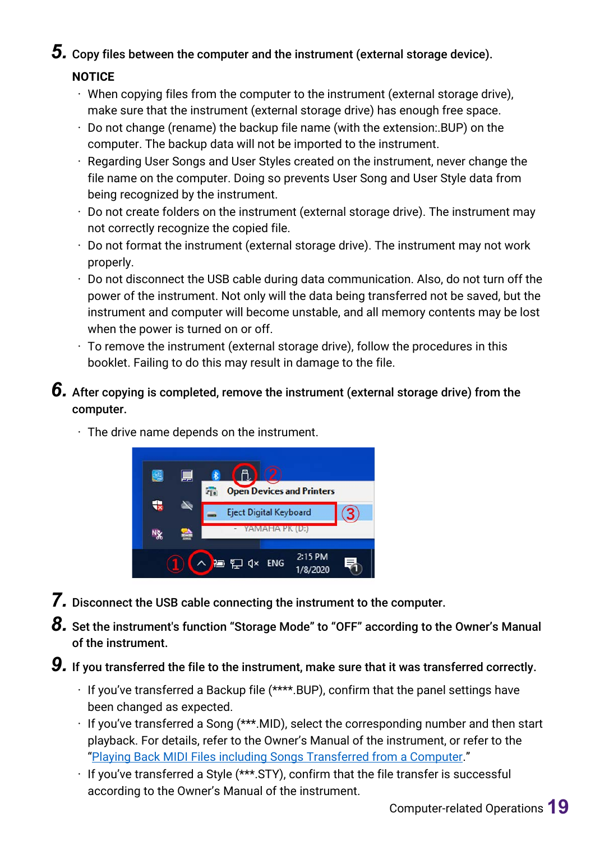*5.* Copy files between the computer and the instrument (external storage device).

#### **NOTICE**

- $\cdot$  When copying files from the computer to the instrument (external storage drive), make sure that the instrument (external storage drive) has enough free space.
- $\cdot$  Do not change (rename) the backup file name (with the extension: BUP) on the computer. The backup data will not be imported to the instrument.
- Regarding User Songs and User Styles created on the instrument, never change the file name on the computer. Doing so prevents User Song and User Style data from being recognized by the instrument.
- $\cdot$  Do not create folders on the instrument (external storage drive). The instrument may not correctly recognize the copied file.
- $\cdot$  Do not format the instrument (external storage drive). The instrument may not work properly.
- Do not disconnect the USB cable during data communication. Also, do not turn off the power of the instrument. Not only will the data being transferred not be saved, but the instrument and computer will become unstable, and all memory contents may be lost when the power is turned on or off.
- $\cdot$  To remove the instrument (external storage drive), follow the procedures in this booklet. Failing to do this may result in damage to the file.
- *6.* After copying is completed, remove the instrument (external storage drive) from the computer.



 $\cdot$  The drive name depends on the instrument.

- *7.* Disconnect the USB cable connecting the instrument to the computer.
- **8.** Set the instrument's function "Storage Mode" to "OFF" according to the Owner's Manual of the instrument.
- *9.* If you transferred the file to the instrument, make sure that it was transferred correctly.
	- $\cdot$  If you've transferred a Backup file (\*\*\*\*.BUP), confirm that the panel settings have been changed as expected.
	- $\cdot$  If you've transferred a Song (\*\*\*.MID), select the corresponding number and then start playback. For details, refer to the Owner's Manual of the instrument, or refer to the ["Playing Back MIDI Files including Songs Transferred from a Computer.](#page-19-0)"
	- If you've transferred a Style (\*\*\*.STY), confirm that the file transfer is successful according to the Owner's Manual of the instrument.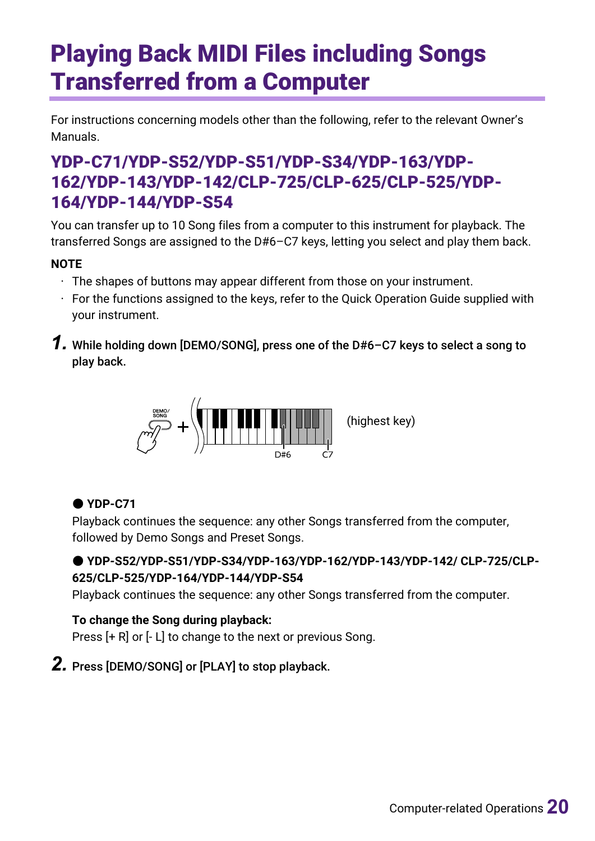# <span id="page-19-0"></span>Playing Back MIDI Files including Songs Transferred from a Computer

For instructions concerning models other than the following, refer to the relevant Owner's Manuals.

## YDP-C71/YDP-S52/YDP-S51/YDP-S34/YDP-163/YDP-162/YDP-143/YDP-142/CLP-725/CLP-625/CLP-525/YDP-164/YDP-144/YDP-S54

You can transfer up to 10 Song files from a computer to this instrument for playback. The transferred Songs are assigned to the D#6–C7 keys, letting you select and play them back.

#### **NOTE**

- $\cdot$  The shapes of buttons may appear different from those on your instrument.
- $\cdot$  For the functions assigned to the keys, refer to the Quick Operation Guide supplied with your instrument.
- *1.* While holding down [DEMO/SONG], press one of the D#6–C7 keys to select a song to play back.



### ● **YDP-C71**

Playback continues the sequence: any other Songs transferred from the computer, followed by Demo Songs and Preset Songs.

#### ● **YDP-S52/YDP-S51/YDP-S34/YDP-163/YDP-162/YDP-143/YDP-142/ CLP-725/CLP-625/CLP-525/YDP-164/YDP-144/YDP-S54**

Playback continues the sequence: any other Songs transferred from the computer.

#### **To change the Song during playback:**

Press [+ R] or [- L] to change to the next or previous Song.

## *2.* Press [DEMO/SONG] or [PLAY] to stop playback.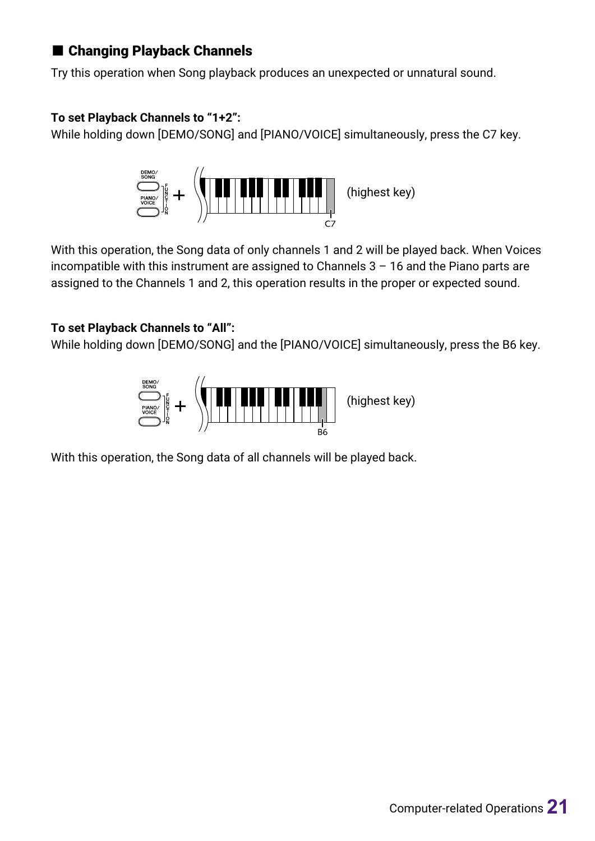### ■ Changing Playback Channels

Try this operation when Song playback produces an unexpected or unnatural sound.

#### **To set Playback Channels to "1+2":**

While holding down [DEMO/SONG] and [PIANO/VOICE] simultaneously, press the C7 key.



With this operation, the Song data of only channels 1 and 2 will be played back. When Voices incompatible with this instrument are assigned to Channels  $3 - 16$  and the Piano parts are assigned to the Channels 1 and 2, this operation results in the proper or expected sound.

#### **To set Playback Channels to "All":**

While holding down [DEMO/SONG] and the [PIANO/VOICE] simultaneously, press the B6 key.



With this operation, the Song data of all channels will be played back.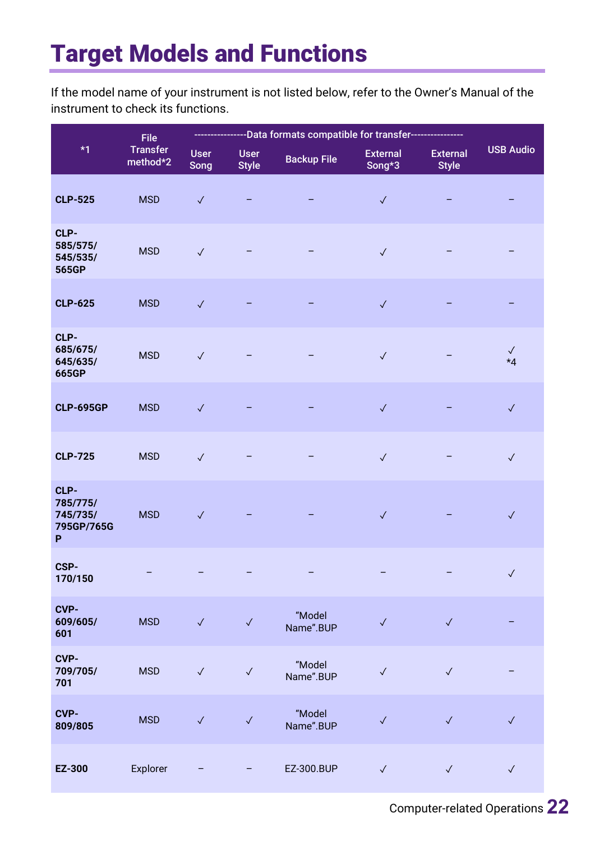# <span id="page-21-0"></span>Target Models and Functions

If the model name of your instrument is not listed below, refer to the Owner's Manual of the instrument to check its functions.

|                                                 | <b>File</b>                 |                     |                             |                     |                           |                                 |                      |
|-------------------------------------------------|-----------------------------|---------------------|-----------------------------|---------------------|---------------------------|---------------------------------|----------------------|
| $*1$                                            | <b>Transfer</b><br>method*2 | <b>User</b><br>Song | <b>User</b><br><b>Style</b> | <b>Backup File</b>  | <b>External</b><br>Song*3 | <b>External</b><br><b>Style</b> | <b>USB Audio</b>     |
| <b>CLP-525</b>                                  | <b>MSD</b>                  | $\checkmark$        |                             |                     | $\checkmark$              |                                 |                      |
| CLP-<br>585/575/<br>545/535/<br>565GP           | <b>MSD</b>                  | $\checkmark$        |                             |                     | $\checkmark$              |                                 |                      |
| <b>CLP-625</b>                                  | <b>MSD</b>                  | $\checkmark$        |                             |                     | $\checkmark$              |                                 |                      |
| CLP-<br>685/675/<br>645/635/<br>665GP           | <b>MSD</b>                  | $\checkmark$        |                             |                     | $\checkmark$              |                                 | $\checkmark$<br>$*4$ |
| <b>CLP-695GP</b>                                | <b>MSD</b>                  | $\checkmark$        |                             |                     | $\checkmark$              |                                 | $\checkmark$         |
| <b>CLP-725</b>                                  | <b>MSD</b>                  | $\checkmark$        |                             |                     | $\checkmark$              |                                 | $\checkmark$         |
| CLP-<br>785/775/<br>745/735/<br>795GP/765G<br>P | <b>MSD</b>                  | $\checkmark$        |                             |                     | $\checkmark$              |                                 | $\checkmark$         |
| CSP-<br>170/150                                 |                             |                     |                             |                     |                           |                                 | $\sqrt{2}$           |
| <b>CVP-</b><br>609/605/<br>601                  | <b>MSD</b>                  | $\checkmark$        | $\checkmark$                | "Model<br>Name".BUP | $\checkmark$              | $\checkmark$                    |                      |
| <b>CVP-</b><br>709/705/<br>701                  | <b>MSD</b>                  | $\checkmark$        | $\checkmark$                | "Model<br>Name".BUP | $\checkmark$              | $\checkmark$                    |                      |
| CVP-<br>809/805                                 | <b>MSD</b>                  | $\checkmark$        | $\checkmark$                | "Model<br>Name".BUP | $\checkmark$              | $\checkmark$                    | $\checkmark$         |
| EZ-300                                          | Explorer                    |                     |                             | EZ-300.BUP          | $\checkmark$              | $\checkmark$                    | $\checkmark$         |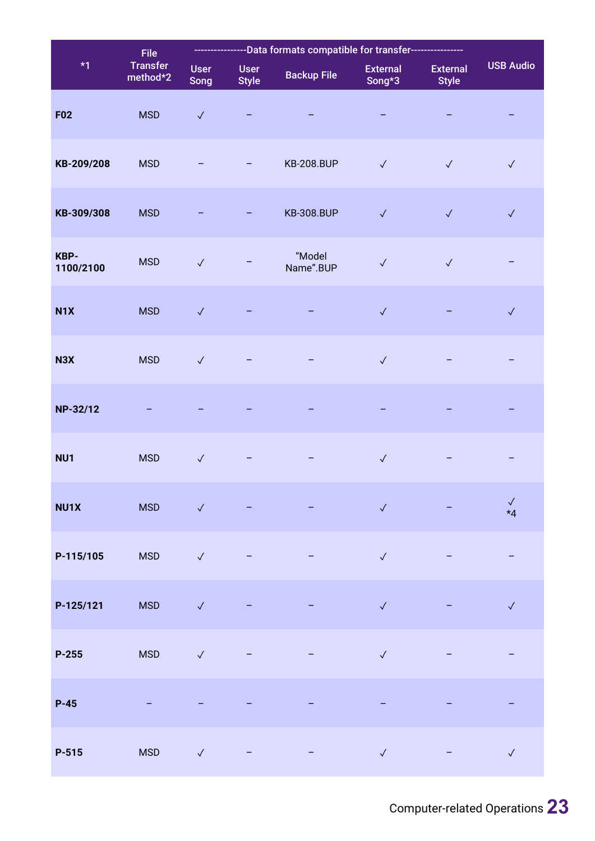|                   | <b>File</b>          | --------Data formats compatible for transfer---- |                             |                     |                           |                                 |                      |
|-------------------|----------------------|--------------------------------------------------|-----------------------------|---------------------|---------------------------|---------------------------------|----------------------|
| $*1$              | Transfer<br>method*2 | <b>User</b><br>Song                              | <b>User</b><br><b>Style</b> | <b>Backup File</b>  | <b>External</b><br>Song*3 | <b>External</b><br><b>Style</b> | <b>USB Audio</b>     |
| <b>F02</b>        | <b>MSD</b>           | $\checkmark$                                     |                             |                     |                           |                                 |                      |
| KB-209/208        | <b>MSD</b>           |                                                  |                             | <b>KB-208.BUP</b>   | $\checkmark$              | $\checkmark$                    | $\checkmark$         |
| KB-309/308        | <b>MSD</b>           |                                                  |                             | <b>KB-308.BUP</b>   | $\checkmark$              | $\checkmark$                    | $\checkmark$         |
| KBP-<br>1100/2100 | <b>MSD</b>           | $\checkmark$                                     |                             | "Model<br>Name".BUP | $\checkmark$              | $\checkmark$                    |                      |
| N <sub>1</sub> X  | <b>MSD</b>           | $\checkmark$                                     |                             |                     | $\checkmark$              |                                 | $\checkmark$         |
| N3X               | <b>MSD</b>           | $\checkmark$                                     |                             |                     | $\checkmark$              |                                 |                      |
| NP-32/12          |                      |                                                  |                             |                     |                           |                                 |                      |
| NU1               | <b>MSD</b>           | $\checkmark$                                     |                             |                     | $\checkmark$              |                                 |                      |
| NU1X              | <b>MSD</b>           | $\sqrt{2}$                                       |                             |                     | $\checkmark$              |                                 | $\checkmark$<br>$*4$ |
| P-115/105         | <b>MSD</b>           | $\checkmark$                                     |                             |                     | $\checkmark$              |                                 |                      |
| P-125/121         | <b>MSD</b>           | $\checkmark$                                     |                             |                     | $\checkmark$              |                                 | $\checkmark$         |
| $P-255$           | <b>MSD</b>           | $\checkmark$                                     |                             |                     | $\checkmark$              |                                 |                      |
| $P-45$            |                      |                                                  |                             |                     |                           |                                 |                      |
| $P-515$           | <b>MSD</b>           | $\sqrt{}$                                        |                             |                     | $\checkmark$              |                                 | $\checkmark$         |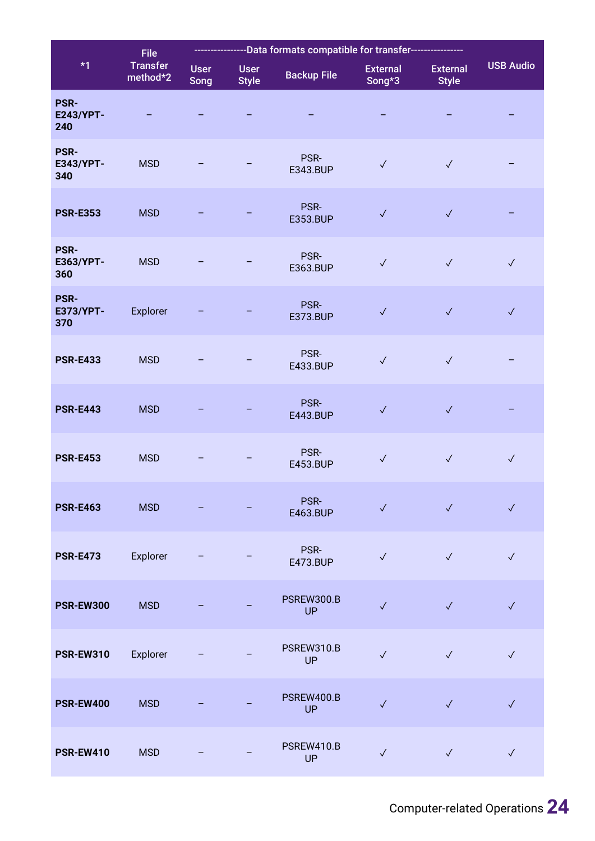|                                        | <b>File</b>                 |                     |                             |                                |                           |                                 |                  |
|----------------------------------------|-----------------------------|---------------------|-----------------------------|--------------------------------|---------------------------|---------------------------------|------------------|
| $*1$                                   | <b>Transfer</b><br>method*2 | <b>User</b><br>Song | <b>User</b><br><b>Style</b> | <b>Backup File</b>             | <b>External</b><br>Song*3 | <b>External</b><br><b>Style</b> | <b>USB Audio</b> |
| <b>PSR-</b><br><b>E243/YPT-</b><br>240 |                             |                     |                             |                                |                           |                                 |                  |
| <b>PSR-</b><br><b>E343/YPT-</b><br>340 | <b>MSD</b>                  |                     |                             | PSR-<br>E343.BUP               | $\checkmark$              | $\checkmark$                    |                  |
| <b>PSR-E353</b>                        | <b>MSD</b>                  |                     |                             | PSR-<br>E353.BUP               | $\checkmark$              | $\checkmark$                    |                  |
| <b>PSR-</b><br>E363/YPT-<br>360        | <b>MSD</b>                  |                     |                             | PSR-<br>E363.BUP               | $\checkmark$              | $\checkmark$                    | $\checkmark$     |
| <b>PSR-</b><br>E373/YPT-<br>370        | Explorer                    |                     |                             | PSR-<br>E373.BUP               | $\checkmark$              | $\checkmark$                    | $\checkmark$     |
| <b>PSR-E433</b>                        | <b>MSD</b>                  |                     |                             | PSR-<br>E433.BUP               | $\checkmark$              | $\checkmark$                    |                  |
| <b>PSR-E443</b>                        | <b>MSD</b>                  |                     |                             | PSR-<br>E443.BUP               | $\checkmark$              | $\checkmark$                    |                  |
| <b>PSR-E453</b>                        | <b>MSD</b>                  |                     |                             | PSR-<br>E453.BUP               | $\checkmark$              | $\checkmark$                    | $\checkmark$     |
| <b>PSR-E463</b>                        | <b>MSD</b>                  |                     |                             | PSR-<br>E463.BUP               | $\checkmark$              | $\sqrt{2}$                      | $\checkmark$     |
| <b>PSR-E473</b>                        | Explorer                    |                     |                             | PSR-<br>E473.BUP               | $\checkmark$              | $\checkmark$                    | $\checkmark$     |
| <b>PSR-EW300</b>                       | <b>MSD</b>                  |                     |                             | <b>PSREW300.B</b><br><b>UP</b> | $\checkmark$              | $\checkmark$                    | $\checkmark$     |
| <b>PSR-EW310</b>                       | Explorer                    |                     |                             | PSREW310.B<br>UP               | $\checkmark$              | $\checkmark$                    | $\checkmark$     |
| <b>PSR-EW400</b>                       | <b>MSD</b>                  |                     |                             | PSREW400.B<br>UP               | $\checkmark$              | $\checkmark$                    | $\checkmark$     |
| <b>PSR-EW410</b>                       | <b>MSD</b>                  |                     |                             | PSREW410.B<br><b>UP</b>        | $\checkmark$              | $\checkmark$                    | $\checkmark$     |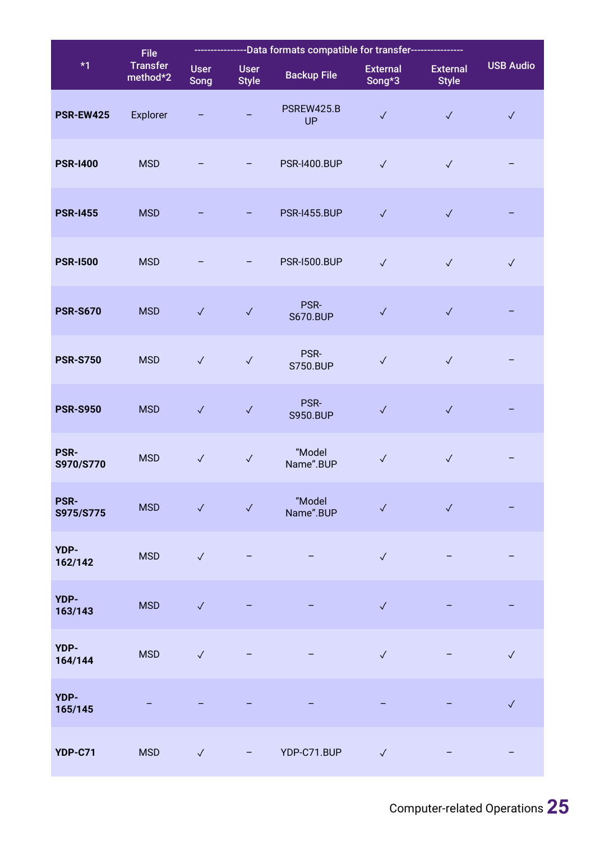|                          | <b>File</b>                 | ----------Data formats compatible for transfer------ |                             |                         |                           |                                 |                  |
|--------------------------|-----------------------------|------------------------------------------------------|-----------------------------|-------------------------|---------------------------|---------------------------------|------------------|
| $*1$                     | <b>Transfer</b><br>method*2 | <b>User</b><br>Song                                  | <b>User</b><br><b>Style</b> | <b>Backup File</b>      | <b>External</b><br>Song*3 | <b>External</b><br><b>Style</b> | <b>USB Audio</b> |
| <b>PSR-EW425</b>         | Explorer                    |                                                      |                             | PSREW425.B<br><b>UP</b> | $\checkmark$              | $\checkmark$                    | $\checkmark$     |
| <b>PSR-1400</b>          | <b>MSD</b>                  |                                                      |                             | <b>PSR-I400.BUP</b>     | $\checkmark$              | $\checkmark$                    |                  |
| <b>PSR-1455</b>          | <b>MSD</b>                  |                                                      |                             | <b>PSR-I455.BUP</b>     | $\checkmark$              | $\checkmark$                    |                  |
| <b>PSR-1500</b>          | <b>MSD</b>                  |                                                      |                             | <b>PSR-1500.BUP</b>     | $\checkmark$              | $\checkmark$                    | $\checkmark$     |
| <b>PSR-S670</b>          | <b>MSD</b>                  | $\checkmark$                                         | $\checkmark$                | PSR-<br><b>S670.BUP</b> | $\checkmark$              | $\checkmark$                    |                  |
| <b>PSR-S750</b>          | <b>MSD</b>                  | $\checkmark$                                         | $\checkmark$                | PSR-<br><b>S750.BUP</b> | $\checkmark$              | $\checkmark$                    |                  |
| <b>PSR-S950</b>          | <b>MSD</b>                  | $\checkmark$                                         | $\checkmark$                | PSR-<br><b>S950.BUP</b> | $\checkmark$              | $\checkmark$                    |                  |
| <b>PSR-</b><br>S970/S770 | <b>MSD</b>                  | $\checkmark$                                         | $\checkmark$                | "Model<br>Name".BUP     | $\checkmark$              | $\checkmark$                    |                  |
| <b>PSR-</b><br>S975/S775 | <b>MSD</b>                  | $\checkmark$                                         | $\checkmark$                | "Model<br>Name".BUP     | $\checkmark$              | $\checkmark$                    |                  |
| YDP-<br>162/142          | <b>MSD</b>                  | $\checkmark$                                         |                             |                         | $\checkmark$              |                                 |                  |
| YDP-<br>163/143          | <b>MSD</b>                  | $\checkmark$                                         |                             |                         | $\checkmark$              |                                 |                  |
| YDP-<br>164/144          | <b>MSD</b>                  | $\checkmark$                                         |                             |                         | $\checkmark$              |                                 | $\checkmark$     |
| YDP-<br>165/145          |                             |                                                      |                             | -                       | -                         |                                 | $\checkmark$     |
| <b>YDP-C71</b>           | <b>MSD</b>                  | $\checkmark$                                         |                             | YDP-C71.BUP             | $\checkmark$              |                                 |                  |